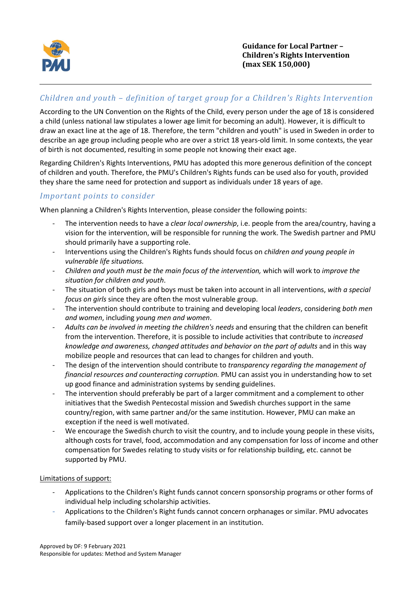

# *Children and youth – definition of target group for a Children's Rights Intervention*

According to the UN Convention on the Rights of the Child, every person under the age of 18 is considered a child (unless national law stipulates a lower age limit for becoming an adult). However, it is difficult to draw an exact line at the age of 18. Therefore, the term "children and youth" is used in Sweden in order to describe an age group including people who are over a strict 18 years-old limit. In some contexts, the year of birth is not documented, resulting in some people not knowing their exact age.

Regarding Children's Rights Interventions, PMU has adopted this more generous definition of the concept of children and youth. Therefore, the PMU's Children's Rights funds can be used also for youth, provided they share the same need for protection and support as individuals under 18 years of age.

### *Important points to consider*

When planning a Children's Rights Intervention, please consider the following points:

- The intervention needs to have a *clear local ownership*, i.e. people from the area/country, having a vision for the intervention, will be responsible for running the work. The Swedish partner and PMU should primarily have a supporting role.
- Interventions using the Children's Rights funds should focus on *children and young people in vulnerable life situations.*
- *Children and youth must be the main focus of the intervention,* which will work to *improve the situation for children and youth*.
- The situation of both girls and boys must be taken into account in all interventions, *with a special focus on girls* since they are often the most vulnerable group.
- The intervention should contribute to training and developing local *leaders*, considering *both men and women*, including *young men and women*.
- *Adults can be involved in meeting the children's needs* and ensuring that the children can benefit from the intervention. Therefore, it is possible to include activities that contribute to *increased knowledge and awareness, changed attitudes and behavior on the part of adults* and in this way mobilize people and resources that can lead to changes for children and youth.
- The design of the intervention should contribute to *transparency regarding the management of financial resources and counteracting corruption.* PMU can assist you in understanding how to set up good finance and administration systems by sending guidelines.
- The intervention should preferably be part of a larger commitment and a complement to other initiatives that the Swedish Pentecostal mission and Swedish churches support in the same country/region, with same partner and/or the same institution. However, PMU can make an exception if the need is well motivated.
- We encourage the Swedish church to visit the country, and to include young people in these visits, although costs for travel, food, accommodation and any compensation for loss of income and other compensation for Swedes relating to study visits or for relationship building, etc. cannot be supported by PMU.

#### Limitations of support:

- Applications to the Children's Right funds cannot concern sponsorship programs or other forms of individual help including scholarship activities.
- Applications to the Children's Right funds cannot concern orphanages or similar. PMU advocates family-based support over a longer placement in an institution.